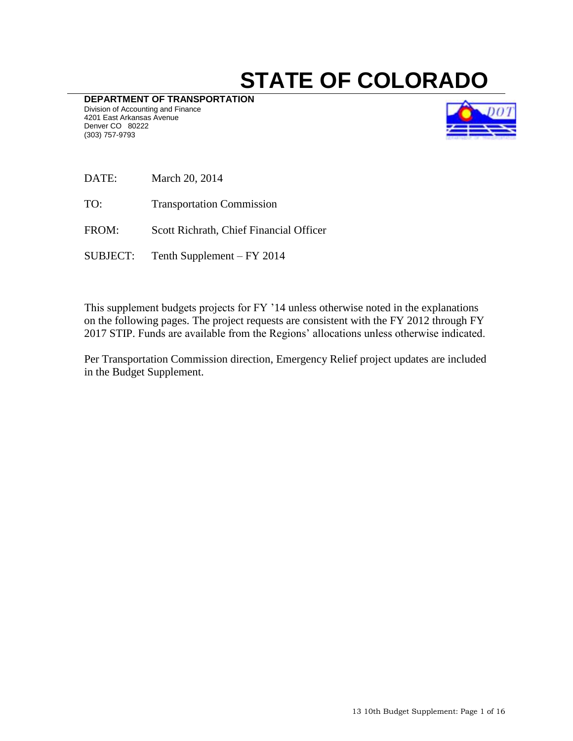# **STATE OF COLORADO**

**DEPARTMENT OF TRANSPORTATION** Division of Accounting and Finance 4201 East Arkansas Avenue Denver CO 80222 (303) 757-9793



- DATE: March 20, 2014
- TO: Transportation Commission
- FROM: Scott Richrath, Chief Financial Officer
- SUBJECT: Tenth Supplement FY 2014

This supplement budgets projects for FY '14 unless otherwise noted in the explanations on the following pages. The project requests are consistent with the FY 2012 through FY 2017 STIP. Funds are available from the Regions' allocations unless otherwise indicated.

Per Transportation Commission direction, Emergency Relief project updates are included in the Budget Supplement.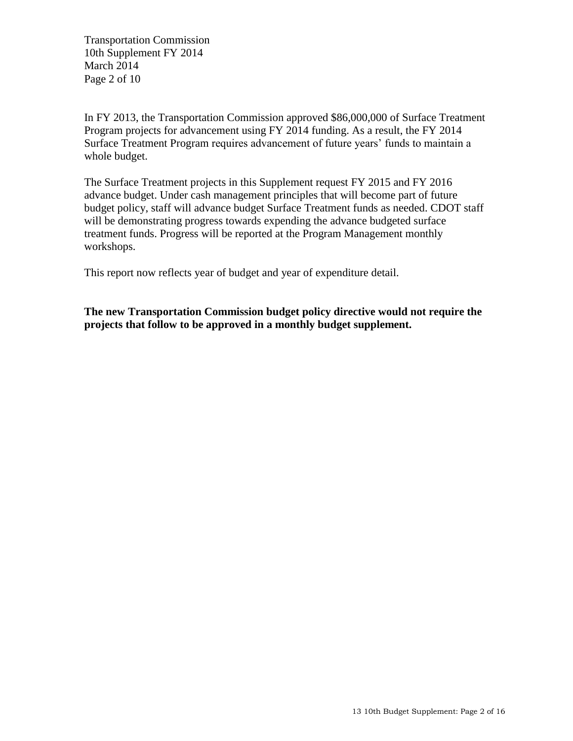Transportation Commission 10th Supplement FY 2014 March 2014 Page 2 of 10

In FY 2013, the Transportation Commission approved \$86,000,000 of Surface Treatment Program projects for advancement using FY 2014 funding. As a result, the FY 2014 Surface Treatment Program requires advancement of future years' funds to maintain a whole budget.

The Surface Treatment projects in this Supplement request FY 2015 and FY 2016 advance budget. Under cash management principles that will become part of future budget policy, staff will advance budget Surface Treatment funds as needed. CDOT staff will be demonstrating progress towards expending the advance budgeted surface treatment funds. Progress will be reported at the Program Management monthly workshops.

This report now reflects year of budget and year of expenditure detail.

**The new Transportation Commission budget policy directive would not require the projects that follow to be approved in a monthly budget supplement.**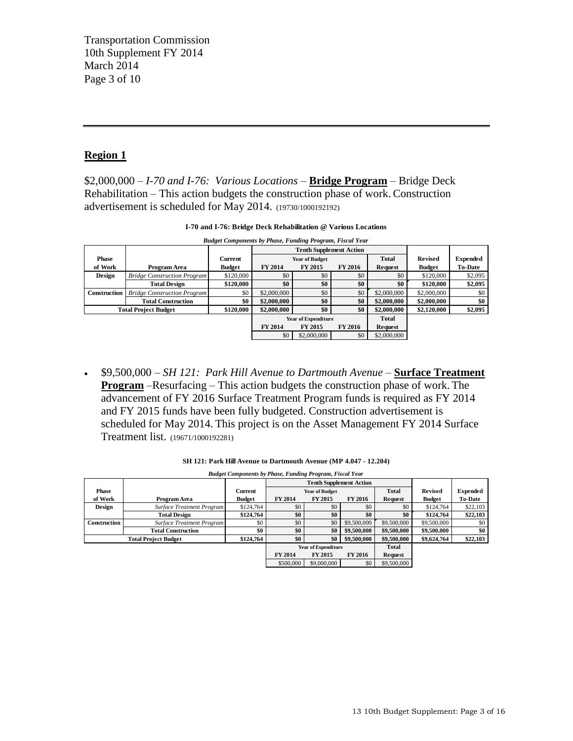Transportation Commission 10th Supplement FY 2014 March 2014 Page 3 of 10

# **Region 1**

\$2,000,000 – *I-70 and I-76: Various Locations –* **Bridge Program** – Bridge Deck Rehabilitation *–* This action budgets the construction phase of work. Construction advertisement is scheduled for May 2014. (19730/1000192192)

| I-70 and I-76: Bridge Deck Rehabilitation @ Various Locations                                                |                                   |  |  |  |  |  |  |  |  |  |
|--------------------------------------------------------------------------------------------------------------|-----------------------------------|--|--|--|--|--|--|--|--|--|
| <b>Budget Components by Phase, Funding Program, Fiscal Year</b>                                              |                                   |  |  |  |  |  |  |  |  |  |
| <b>Tenth Supplement Action</b>                                                                               |                                   |  |  |  |  |  |  |  |  |  |
| Total<br><b>Phase</b><br>Current<br><b>Year of Budget</b>                                                    | <b>Expended</b><br><b>Revised</b> |  |  |  |  |  |  |  |  |  |
| <b>FY 2014</b><br><b>FY 2015</b><br><b>FY 2016</b><br>of Work<br><b>Budget</b><br>Program Area<br>Request    | <b>To-Date</b><br><b>Budget</b>   |  |  |  |  |  |  |  |  |  |
| \$0<br>\$120,000<br>\$0<br>\$0<br>\$0<br><b>Design</b><br><b>Bridge Construction Program</b>                 | \$2,095<br>\$120,000              |  |  |  |  |  |  |  |  |  |
| \$0<br>\$0<br>\$0<br>\$120,000<br>\$0<br><b>Total Design</b>                                                 | \$2,095<br>\$120,000              |  |  |  |  |  |  |  |  |  |
| <b>Construction</b><br>\$0<br>\$0<br>\$2,000,000<br>\$2,000,000<br>\$0<br><b>Bridge Construction Program</b> | \$2,000,000<br>\$0                |  |  |  |  |  |  |  |  |  |
| \$0<br>\$0<br>\$0<br>\$2,000,000<br>\$2,000,000<br><b>Total Construction</b>                                 | \$0<br>\$2,000,000                |  |  |  |  |  |  |  |  |  |
| \$0<br>\$0<br><b>Total Project Budget</b><br>\$120,000<br>\$2,000,000<br>\$2,000,000                         | \$2,095<br>\$2,120,000            |  |  |  |  |  |  |  |  |  |
| Total<br><b>Year of Expenditure</b>                                                                          |                                   |  |  |  |  |  |  |  |  |  |
| FY 2014<br><b>FY 2015</b><br><b>FY 2016</b><br>Request                                                       |                                   |  |  |  |  |  |  |  |  |  |
| \$0<br>\$0<br>\$2,000,000<br>\$2,000,000                                                                     |                                   |  |  |  |  |  |  |  |  |  |
|                                                                                                              |                                   |  |  |  |  |  |  |  |  |  |

**I-70 and I-76: Bridge Deck Rehabilitation @ Various Locations**

 \$9,500,000 – *SH 121: Park Hill Avenue to Dartmouth Avenue –* **Surface Treatment Program** –Resurfacing *–* This action budgets the construction phase of work. The advancement of FY 2016 Surface Treatment Program funds is required as FY 2014 and FY 2015 funds have been fully budgeted. Construction advertisement is scheduled for May 2014. This project is on the Asset Management FY 2014 Surface Treatment list. (19671/1000192281)

|                                                                                                                                     | <b>Treathfull HBt.</b> (17071/1000172201) |               |                |                                |                |                |                |                 |
|-------------------------------------------------------------------------------------------------------------------------------------|-------------------------------------------|---------------|----------------|--------------------------------|----------------|----------------|----------------|-----------------|
| SH 121: Park Hill Avenue to Dartmouth Avenue (MP 4.047 - 12.204)<br><b>Budget Components by Phase, Funding Program, Fiscal Year</b> |                                           |               |                |                                |                |                |                |                 |
|                                                                                                                                     |                                           |               |                | <b>Tenth Supplement Action</b> |                |                |                |                 |
| Phase                                                                                                                               |                                           | Current       |                | <b>Year of Budget</b>          |                | <b>Total</b>   | <b>Revised</b> | <b>Expended</b> |
| of Work                                                                                                                             | Program Area                              | <b>Budget</b> | <b>FY 2014</b> | <b>FY 2015</b>                 | <b>FY 2016</b> | Request        | <b>Budget</b>  | <b>To-Date</b>  |
| <b>Design</b>                                                                                                                       | <b>Surface Treatment Program</b>          | \$124,764     | \$0            | \$0                            | \$0            | \$0            | \$124,764      | \$22,103        |
|                                                                                                                                     | <b>Total Design</b>                       | \$124,764     | \$0            | \$0                            | \$0            | \$0            | \$124,764      | \$22,103        |
| Construction                                                                                                                        | <b>Surface Treatment Program</b>          | \$0           | \$0            | \$0                            | \$9,500,000    | \$9,500,000    | \$9,500,000    | \$0             |
|                                                                                                                                     | <b>Total Construction</b>                 | \$0           | \$0            | \$0                            | \$9,500,000    | \$9,500,000    | \$9,500,000    | \$0             |
|                                                                                                                                     | <b>Total Project Budget</b>               | \$124,764     | \$0            | \$0                            | \$9,500,000    | \$9,500,000    | \$9,624,764    | \$22,103        |
|                                                                                                                                     |                                           |               |                | <b>Year of Expenditure</b>     |                | <b>Total</b>   |                |                 |
|                                                                                                                                     |                                           |               | <b>FY 2014</b> | <b>FY 2015</b>                 | <b>FY 2016</b> | <b>Request</b> |                |                 |
|                                                                                                                                     |                                           |               | \$500,000      | \$9,000,000                    | \$0            | \$9,500,000    |                |                 |
|                                                                                                                                     |                                           |               |                |                                |                |                |                |                 |
|                                                                                                                                     |                                           |               |                |                                |                |                |                |                 |

**SH 121: Park Hill Avenue to Dartmouth Avenue (MP 4.047 - 12.204)**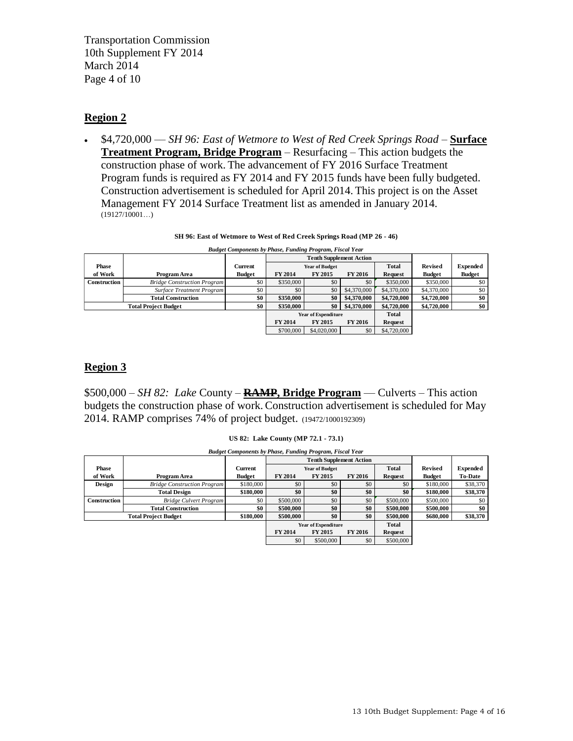Transportation Commission 10th Supplement FY 2014 March 2014 Page 4 of 10

# **Region 2**

 \$4,720,000 –– *SH 96: East of Wetmore to West of Red Creek Springs Road –* **Surface Treatment Program, Bridge Program** *–* Resurfacing *–* This action budgets the construction phase of work. The advancement of FY 2016 Surface Treatment Program funds is required as FY 2014 and FY 2015 funds have been fully budgeted. Construction advertisement is scheduled for April 2014. This project is on the Asset Management FY 2014 Surface Treatment list as amended in January 2014. (19127/10001…)

|  |  | SH 96: East of Wetmore to West of Red Creek Springs Road (MP 26 - 46) |  |
|--|--|-----------------------------------------------------------------------|--|

| (19121/10001)                                                                                                                            |               |                                |                |                |                            |                |                 |  |
|------------------------------------------------------------------------------------------------------------------------------------------|---------------|--------------------------------|----------------|----------------|----------------------------|----------------|-----------------|--|
| SH 96: East of Wetmore to West of Red Creek Springs Road (MP 26 - 46)<br><b>Budget Components by Phase, Funding Program, Fiscal Year</b> |               |                                |                |                |                            |                |                 |  |
|                                                                                                                                          |               | <b>Tenth Supplement Action</b> |                |                |                            |                |                 |  |
|                                                                                                                                          | Current       | <b>Year of Budget</b>          |                |                | <b>Total</b>               | <b>Revised</b> | <b>Expended</b> |  |
| Program Area                                                                                                                             | <b>Budget</b> | <b>FY 2014</b>                 | <b>FY 2015</b> | <b>FY 2016</b> | Request                    | <b>Budget</b>  | <b>Budget</b>   |  |
| <b>Bridge Construction Program</b>                                                                                                       | \$0           | \$350,000                      | \$0            | \$0            | \$350,000                  | \$350,000      | \$0             |  |
| Surface Treatment Program                                                                                                                | \$0           | \$0                            | \$0            | \$4,370,000    | \$4,370,000                | \$4,370,000    | \$0             |  |
| <b>Total Construction</b>                                                                                                                | \$0           | \$350,000                      | \$0            | \$4,370,000    | \$4,720,000                | \$4,720,000    | \$0             |  |
| <b>Total Project Budget</b>                                                                                                              |               | \$350,000                      | \$0            | \$4,370,000    | \$4,720,000                | \$4,720,000    | \$0             |  |
|                                                                                                                                          |               |                                |                |                | <b>Total</b>               |                |                 |  |
|                                                                                                                                          |               | FY 2014                        | <b>FY 2015</b> | <b>FY 2016</b> | Request                    |                |                 |  |
|                                                                                                                                          |               | \$700,000                      | \$4,020,000    | \$0            | \$4,720,000                |                |                 |  |
|                                                                                                                                          |               |                                |                |                |                            |                |                 |  |
|                                                                                                                                          |               | \$0                            |                |                | <b>Year of Expenditure</b> |                |                 |  |

#### **Region 3**

\$500,000 – *SH 82: Lake* County *–* **RAMP, Bridge Program** –*–* Culverts *–* This action budgets the construction phase of work. Construction advertisement is scheduled for May 2014. RAMP comprises 74% of project budget. (19472/1000192309)

| 2014. RAMP comprises 74% of project budget. (19472/1000192309)                                         |                                    |               |                       |                                |                |                |                |                 |
|--------------------------------------------------------------------------------------------------------|------------------------------------|---------------|-----------------------|--------------------------------|----------------|----------------|----------------|-----------------|
| US 82: Lake County (MP 72.1 - 73.1)<br><b>Budget Components by Phase, Funding Program, Fiscal Year</b> |                                    |               |                       |                                |                |                |                |                 |
|                                                                                                        |                                    |               |                       | <b>Tenth Supplement Action</b> |                |                |                |                 |
| Phase                                                                                                  |                                    | Current       | <b>Year of Budget</b> |                                |                | Total          | <b>Revised</b> | <b>Expended</b> |
| of Work                                                                                                | Program Area                       | <b>Budget</b> | <b>FY 2014</b>        | <b>FY 2015</b>                 | <b>FY 2016</b> | <b>Request</b> | <b>Budget</b>  | <b>To-Date</b>  |
| <b>Design</b>                                                                                          | <b>Bridge Construction Program</b> | \$180,000     | \$0                   | \$0                            | \$0            | \$0            | \$180,000      | \$38,370        |
|                                                                                                        | <b>Total Design</b>                | \$180,000     | \$0                   | \$0                            | \$0            | \$0            | \$180,000      | \$38,370        |
| Construction                                                                                           | <b>Bridge Culvert Program</b>      | \$0           | \$500,000             | \$0                            | \$0            | \$500,000      | \$500,000      | \$0             |
|                                                                                                        | <b>Total Construction</b>          | \$0           | \$500,000             | \$0                            | \$0            | \$500,000      | \$500,000      | \$0             |
|                                                                                                        | <b>Total Project Budget</b>        | \$180,000     | \$500,000             | \$0                            | \$0            | \$500,000      | \$680,000      | \$38,370        |
|                                                                                                        |                                    |               |                       | <b>Year of Expenditure</b>     |                | Total          |                |                 |
|                                                                                                        |                                    |               | <b>FY 2014</b>        | <b>FY 2015</b>                 | <b>FY 2016</b> | Request        |                |                 |
|                                                                                                        |                                    |               | \$0                   | \$500,000                      | \$0            | \$500,000      |                |                 |
|                                                                                                        |                                    |               |                       |                                |                |                |                |                 |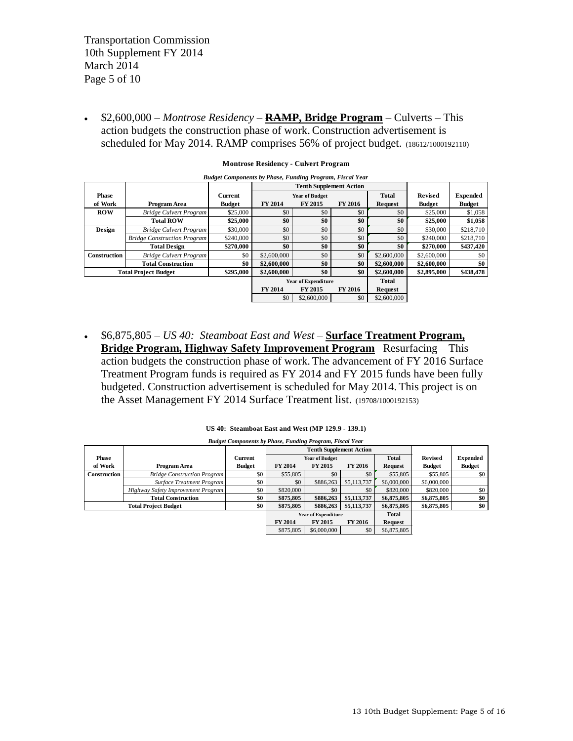Transportation Commission 10th Supplement FY 2014 March 2014 Page 5 of 10

 \$2,600,000 – *Montrose Residency –* **RAMP, Bridge Program** – Culverts *–* This action budgets the construction phase of work. Construction advertisement is scheduled for May 2014. RAMP comprises 56% of project budget. (18612/1000192110)

| SCIEGUICU IOI IVIAY 2014. INAIVIE COIIIDIISES JO $\%$ OI DIOJECT DUUGET. (18612/1000192110) |               |             |                |                       |                                                              |                |                 |  |  |  |
|---------------------------------------------------------------------------------------------|---------------|-------------|----------------|-----------------------|--------------------------------------------------------------|----------------|-----------------|--|--|--|
| <b>Montrose Residency - Culvert Program</b>                                                 |               |             |                |                       |                                                              |                |                 |  |  |  |
| <b>Budget Components by Phase, Funding Program, Fiscal Year</b>                             |               |             |                |                       |                                                              |                |                 |  |  |  |
|                                                                                             |               |             |                |                       |                                                              |                |                 |  |  |  |
|                                                                                             | Current       |             |                |                       | <b>Total</b>                                                 | <b>Revised</b> | <b>Expended</b> |  |  |  |
| Program Area                                                                                | <b>Budget</b> | FY 2014     | FY 2015        | FY 2016               | Request                                                      | <b>Budget</b>  | <b>Budget</b>   |  |  |  |
| <b>Bridge Culvert Program</b>                                                               | \$25,000      | \$0         | \$0            | \$0                   | \$0                                                          | \$25,000       | \$1,058         |  |  |  |
| <b>Total ROW</b>                                                                            | \$25,000      | \$0         | \$0            | \$0                   | \$0                                                          | \$25,000       | \$1,058         |  |  |  |
| <b>Bridge Culvert Program</b>                                                               | \$30,000      | \$0         | \$0            | \$0                   | \$0                                                          | \$30,000       | \$218,710       |  |  |  |
| <b>Bridge Construction Program</b>                                                          | \$240,000     | \$0         | \$0            | \$0                   | \$0                                                          | \$240,000      | \$218,710       |  |  |  |
| <b>Total Design</b>                                                                         | \$270,000     | \$0         | \$0            | \$0                   | \$0                                                          | \$270,000      | \$437,420       |  |  |  |
| <b>Bridge Culvert Program</b>                                                               | \$0           | \$2,600,000 | \$0            | \$0                   | \$2,600,000                                                  | \$2,600,000    | \$0             |  |  |  |
| <b>Total Construction</b>                                                                   | \$0           | \$2,600,000 | \$0            | \$0                   | \$2,600,000                                                  | \$2,600,000    | \$0             |  |  |  |
| <b>Total Project Budget</b>                                                                 | \$295,000     | \$2,600,000 | \$0            | \$0                   | \$2,600,000                                                  | \$2,895,000    | \$438,478       |  |  |  |
|                                                                                             |               |             |                |                       | <b>Total</b>                                                 |                |                 |  |  |  |
|                                                                                             |               | FY 2014     | <b>FY 2015</b> | FY 2016               | <b>Request</b>                                               |                |                 |  |  |  |
|                                                                                             |               | \$0         | \$2,600,000    | \$0                   | \$2,600,000                                                  |                |                 |  |  |  |
|                                                                                             |               |             |                |                       |                                                              |                |                 |  |  |  |
|                                                                                             |               |             |                | <b>Year of Budget</b> | <b>Tenth Supplement Action</b><br><b>Year of Expenditure</b> |                |                 |  |  |  |

 \$6,875,805 – *US 40: Steamboat East and West –* **Surface Treatment Program, Bridge Program, Highway Safety Improvement Program** –Resurfacing *–* This action budgets the construction phase of work. The advancement of FY 2016 Surface Treatment Program funds is required as FY 2014 and FY 2015 funds have been fully budgeted. Construction advertisement is scheduled for May 2014. This project is on the Asset Management FY 2014 Surface Treatment list. (19708/1000192153)

|                             | US 40: Steamboat East and West (MP 129.9 - 139.1) |                                                                                                   |                |                            |                |                |                |                 |  |
|-----------------------------|---------------------------------------------------|---------------------------------------------------------------------------------------------------|----------------|----------------------------|----------------|----------------|----------------|-----------------|--|
|                             |                                                   | <b>Budget Components by Phase, Funding Program, Fiscal Year</b><br><b>Tenth Supplement Action</b> |                |                            |                |                |                |                 |  |
| Phase                       |                                                   | <b>Current</b>                                                                                    |                | <b>Year of Budget</b>      |                | <b>Total</b>   | <b>Revised</b> | <b>Expended</b> |  |
| of Work                     | Program Area                                      | <b>Budget</b>                                                                                     | <b>FY 2014</b> | <b>FY 2015</b>             | <b>FY 2016</b> | <b>Request</b> | <b>Budget</b>  | <b>Budget</b>   |  |
| <b>Construction</b>         | <b>Bridge Construction Program</b>                | \$0                                                                                               | \$55,805       | \$0                        | \$0            | \$55,805       | \$55,805       | \$0             |  |
|                             | <b>Surface Treatment Program</b>                  | \$0                                                                                               | \$0            | \$886,263                  | \$5,113,737    | \$6,000,000    | \$6,000,000    |                 |  |
|                             | Highway Safety Improvement Program                | \$0                                                                                               | \$820,000      | \$0                        | \$0            | \$820,000      | \$820,000      | \$0             |  |
|                             | <b>Total Construction</b>                         | \$0                                                                                               | \$875,805      | \$886,263                  | \$5,113,737    | \$6,875,805    | \$6,875,805    | \$0             |  |
| <b>Total Project Budget</b> |                                                   | \$0                                                                                               | \$875,805      | \$886,263                  | \$5,113,737    | \$6,875,805    | \$6,875,805    | \$0             |  |
|                             |                                                   |                                                                                                   |                | <b>Year of Expenditure</b> |                | Total          |                |                 |  |
|                             |                                                   |                                                                                                   | <b>FY 2014</b> | <b>FY 2015</b>             | <b>FY 2016</b> | <b>Request</b> |                |                 |  |
|                             |                                                   |                                                                                                   | \$875,805      | \$6,000,000                | \$0            | \$6,875,805    |                |                 |  |
|                             |                                                   |                                                                                                   |                |                            |                |                |                |                 |  |
|                             |                                                   |                                                                                                   |                |                            |                |                |                |                 |  |

**US 40: Steamboat East and West (MP 129.9 - 139.1)** *Budget Components by Phase, Funding Program, Fiscal Year*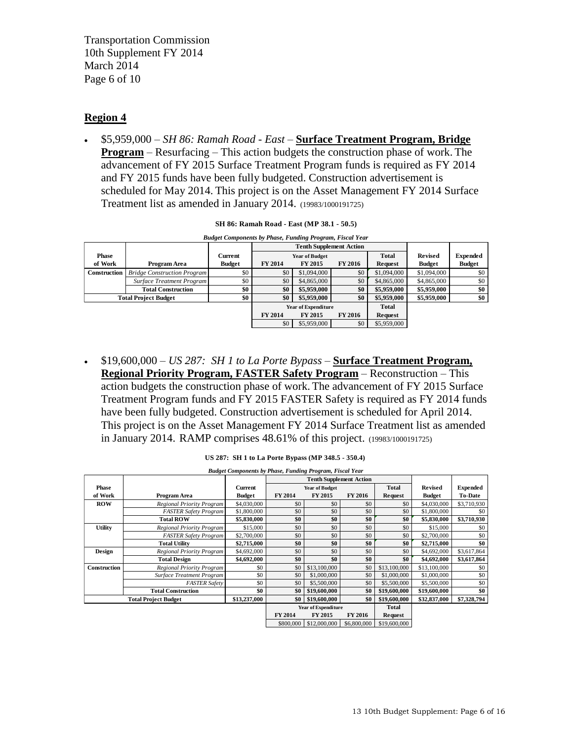Transportation Commission 10th Supplement FY 2014 March 2014 Page 6 of 10

# **Region 4**

 \$5,959,000 – *SH 86: Ramah Road - East –* **Surface Treatment Program, Bridge Program** – Resurfacing *–* This action budgets the construction phase of work. The advancement of FY 2015 Surface Treatment Program funds is required as FY 2014 and FY 2015 funds have been fully budgeted. Construction advertisement is scheduled for May 2014. This project is on the Asset Management FY 2014 Surface Treatment list as amended in January 2014. (19983/1000191725)

|                                                                                                              | Treatment itst as amended in January 2014. (19983/1000191725) |                |                                |                            |                |                |                |                 |  |  |
|--------------------------------------------------------------------------------------------------------------|---------------------------------------------------------------|----------------|--------------------------------|----------------------------|----------------|----------------|----------------|-----------------|--|--|
| SH 86: Ramah Road - East (MP 38.1 - 50.5)<br><b>Budget Components by Phase, Funding Program, Fiscal Year</b> |                                                               |                |                                |                            |                |                |                |                 |  |  |
|                                                                                                              |                                                               |                | <b>Tenth Supplement Action</b> |                            |                |                |                |                 |  |  |
| <b>Phase</b>                                                                                                 |                                                               | <b>Current</b> | <b>Year of Budget</b>          |                            |                | Total          | <b>Revised</b> | <b>Expended</b> |  |  |
| of Work                                                                                                      | Program Area                                                  | <b>Budget</b>  | FY 2014                        | <b>FY 2015</b>             | <b>FY 2016</b> | <b>Request</b> | <b>Budget</b>  | <b>Budget</b>   |  |  |
| Construction                                                                                                 | <b>Bridge Construction Program</b>                            | \$0            | \$0                            | \$1,094,000                | \$0            | \$1,094,000    | \$1,094,000    | \$0             |  |  |
|                                                                                                              | Surface Treatment Program                                     | \$0            | \$0                            | \$4,865,000                | \$0            | \$4,865,000    | \$4,865,000    | \$0             |  |  |
|                                                                                                              | <b>Total Construction</b>                                     | \$0            | \$0                            | \$5,959,000                | \$0            | \$5,959,000    | \$5,959,000    | \$0             |  |  |
| <b>Total Project Budget</b>                                                                                  |                                                               | \$0            | \$0                            | \$5,959,000                | \$0            | \$5,959,000    | \$5,959,000    | \$0             |  |  |
|                                                                                                              |                                                               |                |                                | <b>Year of Expenditure</b> |                | Total          |                |                 |  |  |
|                                                                                                              |                                                               |                | FY 2014                        | <b>FY 2015</b>             | <b>FY 2016</b> | Request        |                |                 |  |  |
|                                                                                                              |                                                               |                | \$0                            | \$5,959,000                | \$0            | \$5,959,000    |                |                 |  |  |
|                                                                                                              |                                                               |                |                                |                            |                |                |                |                 |  |  |

|  | SH 86: Ramah Road - East (MP 38.1 - 50.5) |
|--|-------------------------------------------|
|--|-------------------------------------------|

 \$19,600,000 – *US 287: SH 1 to La Porte Bypass –* **Surface Treatment Program, Regional Priority Program, FASTER Safety Program** – Reconstruction *–* This action budgets the construction phase of work. The advancement of FY 2015 Surface Treatment Program funds and FY 2015 FASTER Safety is required as FY 2014 funds have been fully budgeted. Construction advertisement is scheduled for April 2014. This project is on the Asset Management FY 2014 Surface Treatment list as amended in January 2014. RAMP comprises 48.61% of this project. (19983/1000191725)

| US 287: SH 1 to La Porte Bypass (MP 348.5 - 350.4)<br><b>Budget Components by Phase, Funding Program, Fiscal Year</b><br><b>Tenth Supplement Action</b><br><b>Phase</b><br><b>Total</b><br><b>Revised</b><br><b>Expended</b><br>Current<br><b>Year of Budget</b><br>of Work<br>FY 2014<br>FY 2015<br>FY 2016<br><b>To-Date</b><br>Program Area<br><b>Budget</b><br><b>Budget</b><br>Request<br><b>ROW</b><br>Regional Priority Program<br>\$0<br>\$4,030,000<br>\$0<br>\$0<br>\$0<br>\$4,030,000<br>\$3,710,930<br>\$0<br>\$0<br>\$0<br>\$0<br><b>FASTER Safety Program</b><br>\$1,800,000<br>\$1,800,000<br>\$0<br>\$0<br>\$0<br>\$0<br>\$0<br>\$3,710,930<br><b>Total ROW</b><br>\$5,830,000<br>\$5,830,000<br>\$0<br>\$0<br>\$0<br>\$0<br><b>Utility</b><br>\$15,000<br>Regional Priority Program<br>\$15,000<br>\$0<br>\$0<br>\$0<br>\$0<br>\$2,700,000<br>\$0<br>\$2,700,000<br>\$0<br><b>FASTER Safety Program</b><br>\$0<br>\$0<br>\$0<br>\$0<br>\$2,715,000<br>\$0<br><b>Total Utility</b><br>\$2,715,000<br>\$0<br>\$0<br>\$0<br>\$0<br>\$4,692,000<br>\$3,617,864<br>Design<br>\$4,692,000<br>Regional Priority Program<br>\$4,692,000<br>\$0<br><b>Total Design</b><br>\$0<br>\$0<br>\$0<br>\$4,692,000<br>\$3,617,864<br>\$13,100,000<br>Construction<br>\$0<br>\$0<br>\$13,100,000<br>\$13,100,000<br>Regional Priority Program<br>\$0<br>\$0<br>Surface Treatment Program<br>\$0<br>\$1,000,000<br>\$0<br>\$0<br>\$0<br>\$1,000,000<br>\$1,000,000<br>\$0<br>\$0<br>\$0<br>\$0<br><b>FASTER Safety</b><br>\$5,500,000<br>\$5,500,000<br>\$5,500,000<br>\$0<br><b>Total Construction</b><br>\$0<br>\$0<br>\$0<br>\$19,600,000<br>\$19,600,000<br>\$19,600,000<br>\$0<br>\$7,328,794<br>\$13,237,000<br>\$19,600,000<br><b>Total Project Budget</b><br>\$0<br>\$19,600,000<br>\$32,837,000<br><b>Year of Expenditure</b><br><b>Total</b><br>FY 2014<br>FY 2015<br><b>FY 2016</b><br>Request<br>\$12,000,000<br>\$6,800,000<br>\$19,600,000<br>\$800,000 |  | in January 2014. RAMP comprises $48.61\%$ of this project. (19983/1000191725) |  |  |  |  |  |  |  |  |
|---------------------------------------------------------------------------------------------------------------------------------------------------------------------------------------------------------------------------------------------------------------------------------------------------------------------------------------------------------------------------------------------------------------------------------------------------------------------------------------------------------------------------------------------------------------------------------------------------------------------------------------------------------------------------------------------------------------------------------------------------------------------------------------------------------------------------------------------------------------------------------------------------------------------------------------------------------------------------------------------------------------------------------------------------------------------------------------------------------------------------------------------------------------------------------------------------------------------------------------------------------------------------------------------------------------------------------------------------------------------------------------------------------------------------------------------------------------------------------------------------------------------------------------------------------------------------------------------------------------------------------------------------------------------------------------------------------------------------------------------------------------------------------------------------------------------------------------------------------------------------------------------------------------------------------------------------------------------|--|-------------------------------------------------------------------------------|--|--|--|--|--|--|--|--|
|                                                                                                                                                                                                                                                                                                                                                                                                                                                                                                                                                                                                                                                                                                                                                                                                                                                                                                                                                                                                                                                                                                                                                                                                                                                                                                                                                                                                                                                                                                                                                                                                                                                                                                                                                                                                                                                                                                                                                                     |  |                                                                               |  |  |  |  |  |  |  |  |
|                                                                                                                                                                                                                                                                                                                                                                                                                                                                                                                                                                                                                                                                                                                                                                                                                                                                                                                                                                                                                                                                                                                                                                                                                                                                                                                                                                                                                                                                                                                                                                                                                                                                                                                                                                                                                                                                                                                                                                     |  |                                                                               |  |  |  |  |  |  |  |  |
|                                                                                                                                                                                                                                                                                                                                                                                                                                                                                                                                                                                                                                                                                                                                                                                                                                                                                                                                                                                                                                                                                                                                                                                                                                                                                                                                                                                                                                                                                                                                                                                                                                                                                                                                                                                                                                                                                                                                                                     |  |                                                                               |  |  |  |  |  |  |  |  |
|                                                                                                                                                                                                                                                                                                                                                                                                                                                                                                                                                                                                                                                                                                                                                                                                                                                                                                                                                                                                                                                                                                                                                                                                                                                                                                                                                                                                                                                                                                                                                                                                                                                                                                                                                                                                                                                                                                                                                                     |  |                                                                               |  |  |  |  |  |  |  |  |
|                                                                                                                                                                                                                                                                                                                                                                                                                                                                                                                                                                                                                                                                                                                                                                                                                                                                                                                                                                                                                                                                                                                                                                                                                                                                                                                                                                                                                                                                                                                                                                                                                                                                                                                                                                                                                                                                                                                                                                     |  |                                                                               |  |  |  |  |  |  |  |  |
|                                                                                                                                                                                                                                                                                                                                                                                                                                                                                                                                                                                                                                                                                                                                                                                                                                                                                                                                                                                                                                                                                                                                                                                                                                                                                                                                                                                                                                                                                                                                                                                                                                                                                                                                                                                                                                                                                                                                                                     |  |                                                                               |  |  |  |  |  |  |  |  |
|                                                                                                                                                                                                                                                                                                                                                                                                                                                                                                                                                                                                                                                                                                                                                                                                                                                                                                                                                                                                                                                                                                                                                                                                                                                                                                                                                                                                                                                                                                                                                                                                                                                                                                                                                                                                                                                                                                                                                                     |  |                                                                               |  |  |  |  |  |  |  |  |
|                                                                                                                                                                                                                                                                                                                                                                                                                                                                                                                                                                                                                                                                                                                                                                                                                                                                                                                                                                                                                                                                                                                                                                                                                                                                                                                                                                                                                                                                                                                                                                                                                                                                                                                                                                                                                                                                                                                                                                     |  |                                                                               |  |  |  |  |  |  |  |  |
|                                                                                                                                                                                                                                                                                                                                                                                                                                                                                                                                                                                                                                                                                                                                                                                                                                                                                                                                                                                                                                                                                                                                                                                                                                                                                                                                                                                                                                                                                                                                                                                                                                                                                                                                                                                                                                                                                                                                                                     |  |                                                                               |  |  |  |  |  |  |  |  |
|                                                                                                                                                                                                                                                                                                                                                                                                                                                                                                                                                                                                                                                                                                                                                                                                                                                                                                                                                                                                                                                                                                                                                                                                                                                                                                                                                                                                                                                                                                                                                                                                                                                                                                                                                                                                                                                                                                                                                                     |  |                                                                               |  |  |  |  |  |  |  |  |
|                                                                                                                                                                                                                                                                                                                                                                                                                                                                                                                                                                                                                                                                                                                                                                                                                                                                                                                                                                                                                                                                                                                                                                                                                                                                                                                                                                                                                                                                                                                                                                                                                                                                                                                                                                                                                                                                                                                                                                     |  |                                                                               |  |  |  |  |  |  |  |  |
|                                                                                                                                                                                                                                                                                                                                                                                                                                                                                                                                                                                                                                                                                                                                                                                                                                                                                                                                                                                                                                                                                                                                                                                                                                                                                                                                                                                                                                                                                                                                                                                                                                                                                                                                                                                                                                                                                                                                                                     |  |                                                                               |  |  |  |  |  |  |  |  |
|                                                                                                                                                                                                                                                                                                                                                                                                                                                                                                                                                                                                                                                                                                                                                                                                                                                                                                                                                                                                                                                                                                                                                                                                                                                                                                                                                                                                                                                                                                                                                                                                                                                                                                                                                                                                                                                                                                                                                                     |  |                                                                               |  |  |  |  |  |  |  |  |
|                                                                                                                                                                                                                                                                                                                                                                                                                                                                                                                                                                                                                                                                                                                                                                                                                                                                                                                                                                                                                                                                                                                                                                                                                                                                                                                                                                                                                                                                                                                                                                                                                                                                                                                                                                                                                                                                                                                                                                     |  |                                                                               |  |  |  |  |  |  |  |  |
|                                                                                                                                                                                                                                                                                                                                                                                                                                                                                                                                                                                                                                                                                                                                                                                                                                                                                                                                                                                                                                                                                                                                                                                                                                                                                                                                                                                                                                                                                                                                                                                                                                                                                                                                                                                                                                                                                                                                                                     |  |                                                                               |  |  |  |  |  |  |  |  |
|                                                                                                                                                                                                                                                                                                                                                                                                                                                                                                                                                                                                                                                                                                                                                                                                                                                                                                                                                                                                                                                                                                                                                                                                                                                                                                                                                                                                                                                                                                                                                                                                                                                                                                                                                                                                                                                                                                                                                                     |  |                                                                               |  |  |  |  |  |  |  |  |
|                                                                                                                                                                                                                                                                                                                                                                                                                                                                                                                                                                                                                                                                                                                                                                                                                                                                                                                                                                                                                                                                                                                                                                                                                                                                                                                                                                                                                                                                                                                                                                                                                                                                                                                                                                                                                                                                                                                                                                     |  |                                                                               |  |  |  |  |  |  |  |  |
|                                                                                                                                                                                                                                                                                                                                                                                                                                                                                                                                                                                                                                                                                                                                                                                                                                                                                                                                                                                                                                                                                                                                                                                                                                                                                                                                                                                                                                                                                                                                                                                                                                                                                                                                                                                                                                                                                                                                                                     |  |                                                                               |  |  |  |  |  |  |  |  |
|                                                                                                                                                                                                                                                                                                                                                                                                                                                                                                                                                                                                                                                                                                                                                                                                                                                                                                                                                                                                                                                                                                                                                                                                                                                                                                                                                                                                                                                                                                                                                                                                                                                                                                                                                                                                                                                                                                                                                                     |  |                                                                               |  |  |  |  |  |  |  |  |
|                                                                                                                                                                                                                                                                                                                                                                                                                                                                                                                                                                                                                                                                                                                                                                                                                                                                                                                                                                                                                                                                                                                                                                                                                                                                                                                                                                                                                                                                                                                                                                                                                                                                                                                                                                                                                                                                                                                                                                     |  |                                                                               |  |  |  |  |  |  |  |  |
|                                                                                                                                                                                                                                                                                                                                                                                                                                                                                                                                                                                                                                                                                                                                                                                                                                                                                                                                                                                                                                                                                                                                                                                                                                                                                                                                                                                                                                                                                                                                                                                                                                                                                                                                                                                                                                                                                                                                                                     |  |                                                                               |  |  |  |  |  |  |  |  |
|                                                                                                                                                                                                                                                                                                                                                                                                                                                                                                                                                                                                                                                                                                                                                                                                                                                                                                                                                                                                                                                                                                                                                                                                                                                                                                                                                                                                                                                                                                                                                                                                                                                                                                                                                                                                                                                                                                                                                                     |  |                                                                               |  |  |  |  |  |  |  |  |

|  |  |  | US 287: SH 1 to La Porte Bypass (MP 348.5 - 350.4) |  |
|--|--|--|----------------------------------------------------|--|
|  |  |  |                                                    |  |

13 10th Budget Supplement: Page 6 of 16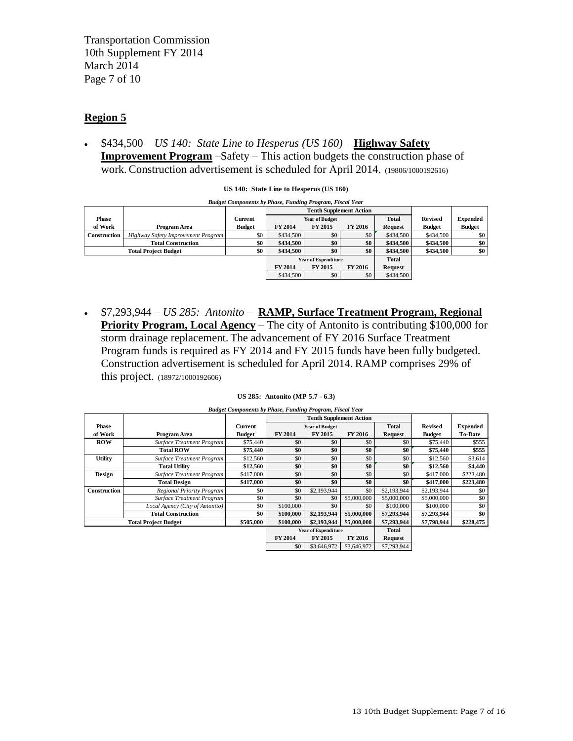Transportation Commission 10th Supplement FY 2014 March 2014 Page 7 of 10

# **Region 5**

 \$434,500 – *US 140: State Line to Hesperus (US 160) –* **Highway Safety Improvement Program** –Safety – This action budgets the construction phase of work. Construction advertisement is scheduled for April 2014. (19806/1000192616)

| <b>Expended</b> |
|-----------------|
| <b>Budget</b>   |
| \$0             |
| \$0             |
| \$0             |
|                 |
|                 |
|                 |
|                 |
|                 |

 \$7,293,944 – *US 285: Antonito –* **RAMP, Surface Treatment Program, Regional Priority Program, Local Agency – The city of Antonito is contributing \$100,000 for** storm drainage replacement. The advancement of FY 2016 Surface Treatment Program funds is required as FY 2014 and FY 2015 funds have been fully budgeted. Construction advertisement is scheduled for April 2014. RAMP comprises 29% of this project. (18972/1000192606)

| US 285: Antonito (MP $5.7 - 6.3$ ) |  |  |  |  |
|------------------------------------|--|--|--|--|
|------------------------------------|--|--|--|--|

|                     | this project. (18972/1000192606) |                                                                 |                                 |                                |                |                |                |                 |
|---------------------|----------------------------------|-----------------------------------------------------------------|---------------------------------|--------------------------------|----------------|----------------|----------------|-----------------|
|                     |                                  |                                                                 | US 285: Antonito (MP 5.7 - 6.3) |                                |                |                |                |                 |
|                     |                                  | <b>Budget Components by Phase, Funding Program, Fiscal Year</b> |                                 |                                |                |                |                |                 |
|                     |                                  |                                                                 |                                 | <b>Tenth Supplement Action</b> |                |                |                |                 |
| <b>Phase</b>        |                                  | Current                                                         |                                 | <b>Year of Budget</b>          |                | <b>Total</b>   | <b>Revised</b> | <b>Expended</b> |
| of Work             | Program Area                     | <b>Budget</b>                                                   | FY 2014                         | FY 2015                        | <b>FY 2016</b> | <b>Request</b> | <b>Budget</b>  | <b>To-Date</b>  |
| <b>ROW</b>          | <b>Surface Treatment Program</b> | \$75,440                                                        | \$0                             | \$0                            | \$0            | \$0            | \$75,440       | \$555           |
|                     | <b>Total ROW</b>                 | \$75,440                                                        | \$0                             | \$0                            | \$0            | \$0            | \$75,440       | \$555           |
| <b>Utility</b>      | Surface Treatment Program        | \$12,560                                                        | \$0                             | \$0                            | \$0            | \$0            | \$12,560       | \$3,614         |
|                     | <b>Total Utility</b>             | \$12,560                                                        | \$0                             | \$0                            | \$0            | \$0            | \$12,560       | \$4,440         |
| Design              | Surface Treatment Program        | \$417,000                                                       | \$0                             | \$0                            | \$0            | \$0            | \$417,000      | \$223,480       |
|                     | <b>Total Design</b>              | \$417,000                                                       | \$0                             | \$0                            | \$0            | \$0            | \$417,000      | \$223,480       |
| <b>Construction</b> | Regional Priority Program        | \$0                                                             | \$0                             | \$2,193,944                    | \$0            | \$2,193,944    | \$2,193,944    | \$0             |
|                     | Surface Treatment Program        | \$0                                                             | \$0                             | \$0                            | \$5,000,000    | \$5,000,000    | \$5,000,000    | \$0             |
|                     | Local Agency (City of Antonito)  | \$0                                                             | \$100,000                       | \$0                            | \$0            | \$100,000      | \$100,000      | \$0             |
|                     | <b>Total Construction</b>        | \$0                                                             | \$100,000                       | \$2,193,944                    | \$5,000,000    | \$7,293,944    | \$7,293,944    | \$0             |
|                     | <b>Total Project Budget</b>      | \$505,000                                                       | \$100,000                       | \$2,193,944                    | \$5,000,000    | \$7,293,944    | \$7,798,944    | \$228,475       |
|                     |                                  |                                                                 |                                 | <b>Year of Expenditure</b>     |                | Total          |                |                 |
|                     |                                  |                                                                 | <b>FY 2014</b>                  | FY 2015                        | <b>FY 2016</b> | Request        |                |                 |
|                     |                                  |                                                                 | \$0                             | \$3,646,972                    | \$3,646,972    | \$7,293,944    |                |                 |
|                     |                                  |                                                                 |                                 |                                |                |                |                |                 |
|                     |                                  |                                                                 |                                 |                                |                |                |                |                 |

| Budget Components by Phase, Funding Program, Fiscal Year |  |  |  |
|----------------------------------------------------------|--|--|--|
|                                                          |  |  |  |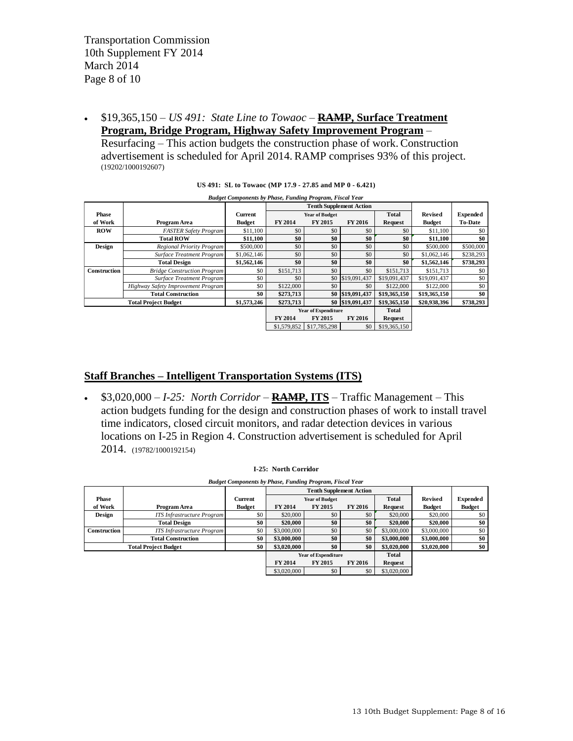\$19,365,150 – *US 491: State Line to Towaoc –* **RAMP, Surface Treatment Program, Bridge Program, Highway Safety Improvement Program** –

Resurfacing *–* This action budgets the construction phase of work. Construction advertisement is scheduled for April 2014. RAMP comprises 93% of this project. (19202/1000192607)

|              | (19202/1000192607)                                              |                                                         |             |                            |                                |                |                |                 |  |  |
|--------------|-----------------------------------------------------------------|---------------------------------------------------------|-------------|----------------------------|--------------------------------|----------------|----------------|-----------------|--|--|
|              |                                                                 | US 491: SL to Towaoc (MP 17.9 - 27.85 and MP 0 - 6.421) |             |                            |                                |                |                |                 |  |  |
|              | <b>Budget Components by Phase, Funding Program, Fiscal Year</b> |                                                         |             |                            |                                |                |                |                 |  |  |
|              |                                                                 |                                                         |             |                            | <b>Tenth Supplement Action</b> |                |                |                 |  |  |
| <b>Phase</b> |                                                                 | Current                                                 |             | <b>Year of Budget</b>      |                                | <b>Total</b>   | <b>Revised</b> | <b>Expended</b> |  |  |
| of Work      | Program Area                                                    | <b>Budget</b>                                           | FY 2014     | FY 2015                    | FY 2016                        | <b>Request</b> | <b>Budget</b>  | <b>To-Date</b>  |  |  |
| <b>ROW</b>   | <b>FASTER Safety Program</b>                                    | \$11.100                                                | \$0         | \$0                        | \$0                            | \$0            | \$11,100       | \$0             |  |  |
|              | <b>Total ROW</b>                                                | \$11,100                                                | \$0         | \$0                        | \$0                            | \$0            | \$11,100       | \$0             |  |  |
| Design       | <b>Regional Priority Program</b>                                | \$500,000                                               | \$0         | \$0                        | \$0                            | \$0            | \$500,000      | \$500,000       |  |  |
|              | Surface Treatment Program                                       | \$1,062,146                                             | \$0         | \$0                        | \$0                            | \$0            | \$1,062,146    | \$238,293       |  |  |
|              | <b>Total Design</b>                                             | \$1,562,146                                             | \$0         | \$0                        | \$0                            | \$0            | \$1,562,146    | \$738,293       |  |  |
| Construction | <b>Bridge Construction Program</b>                              | \$0                                                     | \$151,713   | \$0                        | \$0                            | \$151,713      | \$151,713      | \$0             |  |  |
|              | Surface Treatment Program                                       | \$0                                                     | \$0         | \$0                        | \$19,091,437                   | \$19,091,437   | \$19,091,437   | \$0             |  |  |
|              | Highway Safety Improvement Program                              | \$0                                                     | \$122,000   | \$0                        | \$0                            | \$122,000      | \$122,000      | \$0             |  |  |
|              | <b>Total Construction</b>                                       | \$0                                                     | \$273,713   | \$0                        | \$19,091,437                   | \$19,365,150   | \$19,365,150   | \$0             |  |  |
|              | <b>Total Project Budget</b>                                     | \$1,573,246                                             | \$273,713   |                            | \$0 \$19,091,437               | \$19,365,150   | \$20,938,396   | \$738,293       |  |  |
|              |                                                                 |                                                         |             | <b>Year of Expenditure</b> |                                | Total          |                |                 |  |  |
|              |                                                                 |                                                         | FY 2014     | FY 2015                    | <b>FY 2016</b>                 | Request        |                |                 |  |  |
|              |                                                                 |                                                         | \$1,579,852 | \$17,785,298               | \$0                            | \$19,365,150   |                |                 |  |  |
|              |                                                                 |                                                         |             |                            |                                |                |                |                 |  |  |
|              |                                                                 |                                                         |             |                            |                                |                |                |                 |  |  |

|  |  |  |  |  |  |  | US 491: SL to Towaoc (MP 17.9 - 27.85 and MP 0 - 6.421) |
|--|--|--|--|--|--|--|---------------------------------------------------------|
|--|--|--|--|--|--|--|---------------------------------------------------------|

### **Staff Branches – Intelligent Transportation Systems (ITS)**

 \$3,020,000 – *I-25: North Corridor –* **RAMP, ITS** – Traffic Management *–* This action budgets funding for the design and construction phases of work to install travel time indicators, closed circuit monitors, and radar detection devices in various locations on I-25 in Region 4. Construction advertisement is scheduled for April 2014. (19782/1000192154)

|               | 2014. (19782/1000192154)          |                                                                 |                             |                                |                |                |                |                 |
|---------------|-----------------------------------|-----------------------------------------------------------------|-----------------------------|--------------------------------|----------------|----------------|----------------|-----------------|
|               |                                   |                                                                 | <b>I-25: North Corridor</b> |                                |                |                |                |                 |
|               |                                   | <b>Budget Components by Phase, Funding Program, Fiscal Year</b> |                             |                                |                |                |                |                 |
|               |                                   |                                                                 |                             | <b>Tenth Supplement Action</b> |                |                |                |                 |
| Phase         |                                   | Current                                                         |                             | <b>Year of Budget</b>          |                | <b>Total</b>   | <b>Revised</b> | <b>Expended</b> |
| of Work       | Program Area                      | <b>Budget</b>                                                   | FY 2014                     | <b>FY 2015</b>                 | <b>FY 2016</b> | <b>Request</b> | <b>Budget</b>  | <b>Budget</b>   |
| <b>Design</b> | <b>ITS</b> Infrastructure Program | \$0                                                             | \$20,000                    | \$0                            | \$0            | \$20,000       | \$20,000       | \$0             |
|               | <b>Total Design</b>               | \$0                                                             | \$20,000                    | \$0                            | \$0            | \$20,000       | \$20,000       | \$0             |
| Construction  | <b>ITS</b> Infrastructure Program | \$0                                                             | \$3,000,000                 | \$0                            | \$0            | \$3,000,000    | \$3,000,000    | \$0             |
|               | <b>Total Construction</b>         | \$0                                                             | \$3,000,000                 | \$0                            | \$0            | \$3,000,000    | \$3,000,000    | \$0             |
|               | <b>Total Project Budget</b>       | \$0                                                             | \$3,020,000                 | \$0                            | \$0            | \$3,020,000    | \$3,020,000    | \$0             |
|               |                                   |                                                                 |                             | <b>Year of Expenditure</b>     |                | <b>Total</b>   |                |                 |
|               |                                   |                                                                 | <b>FY 2014</b>              | <b>FY 2015</b>                 | <b>FY 2016</b> | <b>Request</b> |                |                 |
|               |                                   |                                                                 | \$3,020,000                 | \$0                            | \$0            | \$3,020,000    |                |                 |
|               |                                   |                                                                 |                             |                                |                |                |                |                 |

#### **I-25: North Corridor**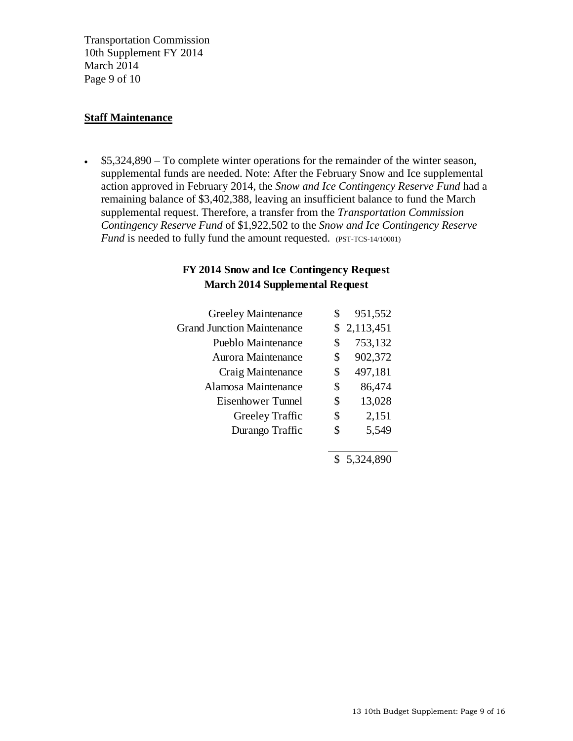Transportation Commission 10th Supplement FY 2014 March 2014 Page 9 of 10

### **Staff Maintenance**

 $\cdot$  \$5,324,890 – To complete winter operations for the remainder of the winter season, supplemental funds are needed. Note: After the February Snow and Ice supplemental action approved in February 2014, the *Snow and Ice Contingency Reserve Fund* had a remaining balance of \$3,402,388, leaving an insufficient balance to fund the March supplemental request. Therefore, a transfer from the *Transportation Commission Contingency Reserve Fund* of \$1,922,502 to the *Snow and Ice Contingency Reserve Fund* is needed to fully fund the amount requested. (PST-TCS-14/10001)

# **FY 2014 Snow and Ice Contingency Request March 2014 Supplemental Request**

| $-22 - 52$                        |               |
|-----------------------------------|---------------|
| <b>Greeley Maintenance</b>        | \$<br>951,552 |
| <b>Grand Junction Maintenance</b> | \$2,113,451   |
| Pueblo Maintenance                | \$<br>753,132 |
| Aurora Maintenance                | \$<br>902,372 |
| Craig Maintenance                 | \$<br>497,181 |
| Alamosa Maintenance               | \$<br>86,474  |
| Eisenhower Tunnel                 | \$<br>13,028  |
| Greeley Traffic                   | \$<br>2,151   |
| Durango Traffic                   | 5,549         |
|                                   |               |

\$ 5,324,890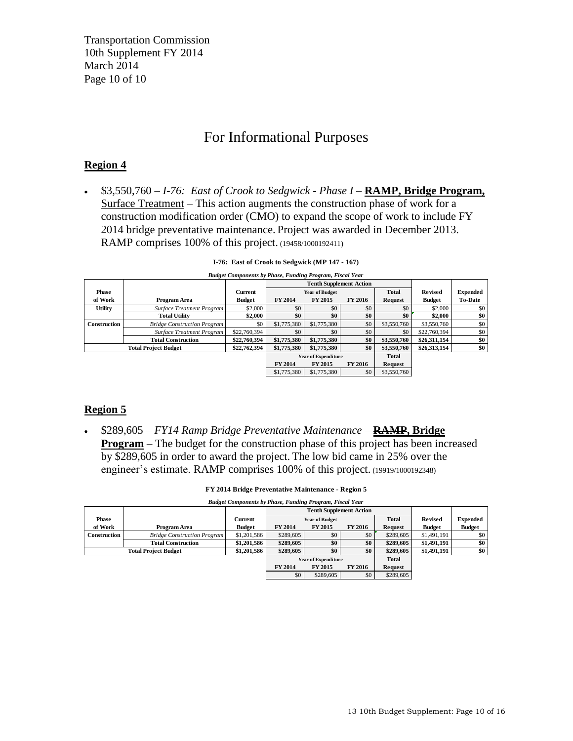Transportation Commission 10th Supplement FY 2014 March 2014 Page 10 of 10

# For Informational Purposes

# **Region 4**

 \$3,550,760 – *I-76: East of Crook to Sedgwick - Phase I –* **RAMP, Bridge Program,** Surface Treatment – This action augments the construction phase of work for a construction modification order (CMO) to expand the scope of work to include FY 2014 bridge preventative maintenance. Project was awarded in December 2013. RAMP comprises 100% of this project. (19458/1000192411)

|                                                                                                                   | RAMP comprises 100% of this project. (19458/1000192411) |               |                            |                                |                |                |                |                 |
|-------------------------------------------------------------------------------------------------------------------|---------------------------------------------------------|---------------|----------------------------|--------------------------------|----------------|----------------|----------------|-----------------|
| I-76: East of Crook to Sedgwick (MP 147 - 167)<br><b>Budget Components by Phase, Funding Program, Fiscal Year</b> |                                                         |               |                            |                                |                |                |                |                 |
|                                                                                                                   |                                                         |               |                            | <b>Tenth Supplement Action</b> |                |                |                |                 |
| Phase                                                                                                             |                                                         | Current       |                            | <b>Year of Budget</b>          |                | Total          | <b>Revised</b> | <b>Expended</b> |
| of Work                                                                                                           | Program Area                                            | <b>Budget</b> | FY 2014                    | <b>FY 2015</b>                 | <b>FY 2016</b> | <b>Request</b> | <b>Budget</b>  | <b>To-Date</b>  |
| <b>Utility</b>                                                                                                    | <b>Surface Treatment Program</b>                        | \$2,000       | \$0                        | \$0                            | \$0            | \$0            | \$2,000        | \$0             |
|                                                                                                                   | <b>Total Utility</b>                                    | \$2,000       | \$0                        | \$0                            | \$0            | \$0            | \$2,000        | \$0             |
| <b>Construction</b>                                                                                               | <b>Bridge Construction Program</b>                      | \$0           | \$1,775,380                | \$1,775,380                    | \$0            | \$3,550,760    | \$3,550,760    | \$0             |
|                                                                                                                   | <b>Surface Treatment Program</b>                        | \$22,760,394  | \$0                        | \$0                            | \$0            | \$0            | \$22,760,394   | \$0             |
|                                                                                                                   | <b>Total Construction</b>                               | \$22,760,394  | \$1,775,380                | \$1,775,380                    | \$0            | \$3,550,760    | \$26,311,154   | \$0             |
|                                                                                                                   | <b>Total Project Budget</b>                             | \$22,762,394  | \$1,775,380                | \$1,775,380                    | \$0            | \$3,550,760    | \$26,313,154   | \$0             |
|                                                                                                                   |                                                         |               | <b>Year of Expenditure</b> |                                |                | Total          |                |                 |
| FY 2014<br><b>FY 2015</b>                                                                                         |                                                         |               |                            |                                | <b>FY 2016</b> | Request        |                |                 |
| \$0<br>\$1,775,380<br>\$3,550,760<br>\$1,775,380                                                                  |                                                         |               |                            |                                |                |                |                |                 |
|                                                                                                                   |                                                         |               |                            |                                |                |                |                |                 |

**I-76: East of Crook to Sedgwick (MP 147 - 167)**

# **Region 5**

 \$289,605 *– FY14 Ramp Bridge Preventative Maintenance –* **RAMP, Bridge Program** – The budget for the construction phase of this project has been increased by \$289,605 in order to award the project. The low bid came in 25% over the engineer's estimate. RAMP comprises 100% of this project. (19919/1000192348)

| FY 2014 Bridge Preventative Maintenance - Region 5 |  |
|----------------------------------------------------|--|
|----------------------------------------------------|--|

| engineer's estimate. RAMP comprises 100% of this project. (19919/1000192348) |                                                                                                   |               |           |                            |                |              |                |                 |
|------------------------------------------------------------------------------|---------------------------------------------------------------------------------------------------|---------------|-----------|----------------------------|----------------|--------------|----------------|-----------------|
| FY 2014 Bridge Preventative Maintenance - Region 5                           |                                                                                                   |               |           |                            |                |              |                |                 |
|                                                                              | <b>Budget Components by Phase, Funding Program, Fiscal Year</b><br><b>Tenth Supplement Action</b> |               |           |                            |                |              |                |                 |
| Phase                                                                        |                                                                                                   | Current       |           | <b>Year of Budget</b>      |                | <b>Total</b> | <b>Revised</b> | <b>Expended</b> |
| of Work                                                                      | Program Area                                                                                      | <b>Budget</b> | FY 2014   | <b>FY 2015</b>             | <b>FY 2016</b> | Request      | <b>Budget</b>  | <b>Budget</b>   |
| Construction                                                                 | <b>Bridge Construction Program</b>                                                                | \$1,201,586   | \$289,605 | \$0                        | \$0            | \$289,605    | \$1,491,191    | \$0             |
|                                                                              | <b>Total Construction</b>                                                                         | \$1,201,586   | \$289,605 | \$0                        | \$0            | \$289,605    | \$1,491,191    | \$0             |
|                                                                              | <b>Total Project Budget</b>                                                                       | \$1,201,586   | \$289,605 | \$0                        | \$0            | \$289,605    | \$1,491,191    | \$0             |
|                                                                              |                                                                                                   |               |           | <b>Year of Expenditure</b> |                | Total        |                |                 |
|                                                                              |                                                                                                   |               | FY 2014   | <b>FY 2015</b>             | <b>FY 2016</b> | Request      |                |                 |
|                                                                              |                                                                                                   |               | \$0       | \$289,605                  | \$0            | \$289,605    |                |                 |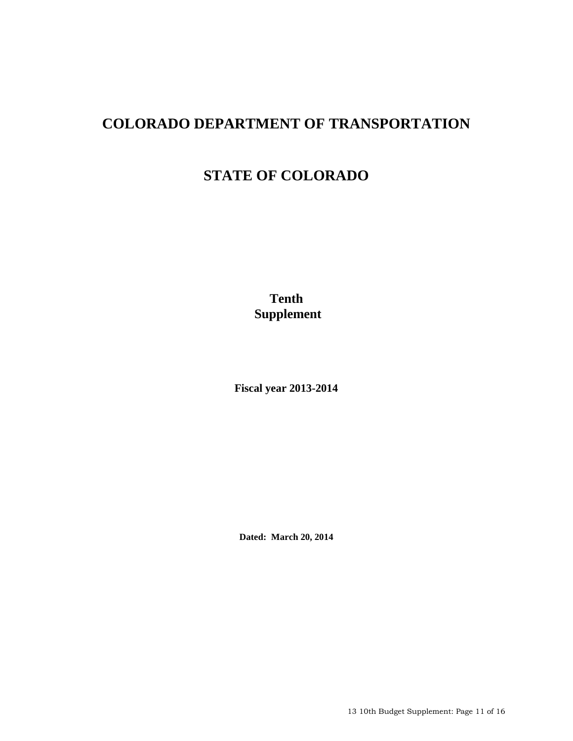# **COLORADO DEPARTMENT OF TRANSPORTATION**

# **STATE OF COLORADO**

**Tenth Supplement** 

**Fiscal year 2013-2014**

**Dated: March 20, 2014** 

13 10th Budget Supplement: Page 11 of 16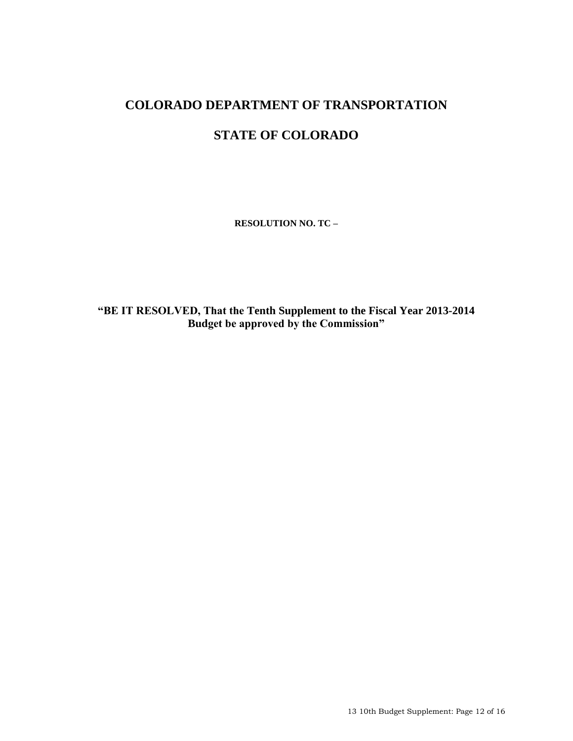# **COLORADO DEPARTMENT OF TRANSPORTATION STATE OF COLORADO**

**RESOLUTION NO. TC –**

**"BE IT RESOLVED, That the Tenth Supplement to the Fiscal Year 2013-2014 Budget be approved by the Commission"**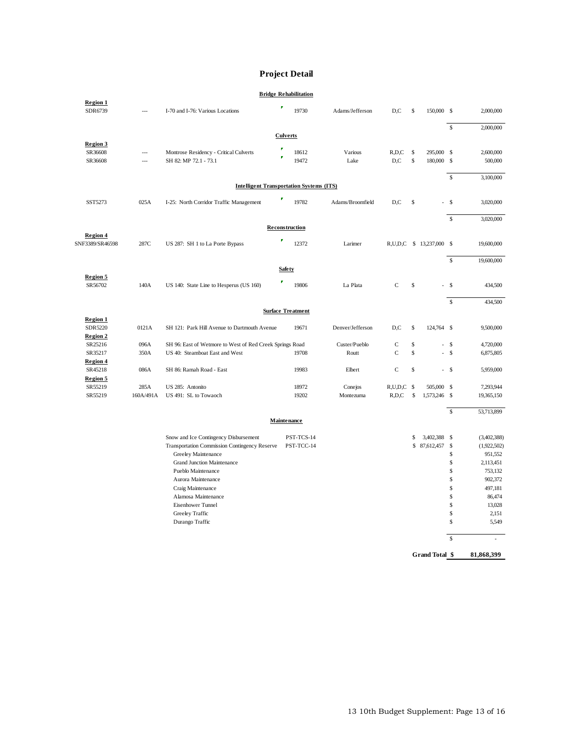#### **Project Detail**

|                            |                |                                                          | <b>Project Detail</b>        |                  |                 |               |                          |                    |                             |
|----------------------------|----------------|----------------------------------------------------------|------------------------------|------------------|-----------------|---------------|--------------------------|--------------------|-----------------------------|
|                            |                |                                                          | <b>Bridge Rehabilitation</b> |                  |                 |               |                          |                    |                             |
| Region 1<br>SDR6739        | ---            | I-70 and I-76: Various Locations                         | F<br>19730                   | Adams/Jefferson  | D,C             | \$            | 150,000 \$               |                    | 2,000,000                   |
|                            |                |                                                          |                              |                  |                 |               |                          | $\mathbb S$        | 2,000,000                   |
| Region 3                   |                |                                                          | <b>Culverts</b>              |                  |                 |               |                          |                    |                             |
| SR36608                    | ---            | Montrose Residency - Critical Culverts                   | 18612                        | Various          | $R$ , $D$ , $C$ | \$            | 295,000 \$               |                    | 2,600,000                   |
| SR36608                    | $\overline{a}$ | SH 82: MP 72.1 - 73.1                                    | 19472                        | Lake             | D,C             | \$            | 180,000 \$               |                    | 500,000                     |
|                            |                |                                                          |                              |                  |                 |               |                          | $\mathbb{S}$       | 3,100,000                   |
|                            |                | <b>Intelligent Transportation Systems (ITS)</b>          |                              |                  |                 |               |                          |                    |                             |
| SST5273                    | 025A           | I-25: North Corridor Traffic Management                  | 19782                        | Adams/Broomfield | D,C             | \$            |                          | - \$               | 3,020,000                   |
|                            |                |                                                          |                              |                  |                 |               |                          | $\mathbf{\hat{S}}$ | 3,020,000                   |
| Region 4                   |                |                                                          | Reconstruction               |                  |                 |               |                          |                    |                             |
| SNF3389/SR46598            | 287C           | US 287: SH 1 to La Porte Bypass                          | Γ<br>12372                   | Larimer          |                 |               | R,U,D,C \$ 13,237,000 \$ |                    | 19,600,000                  |
|                            |                |                                                          |                              |                  |                 |               |                          | $\mathbb{S}$       | 19,600,000                  |
| Region 5                   |                |                                                          | <b>Safety</b>                |                  |                 |               |                          |                    |                             |
| SR56702                    | 140A           | US 140: State Line to Hesperus (US 160)                  | 19806                        | La Plata         | $\mathsf{C}$    | \$            |                          | $\mathbf{s}$       | 434,500                     |
|                            |                |                                                          |                              |                  |                 |               |                          | \$                 | 434,500                     |
|                            |                |                                                          | <b>Surface Treatment</b>     |                  |                 |               |                          |                    |                             |
| Region 1<br>SDR5220        | 0121A          | SH 121: Park Hill Avenue to Dartmouth Avenue             | 19671                        | Denver/Jefferson | D,C             | \$            | 124,764 \$               |                    | 9,500,000                   |
| <b>Region 2</b>            |                |                                                          |                              |                  |                 |               |                          |                    |                             |
| SR25216                    | 096A           | SH 96: East of Wetmore to West of Red Creek Springs Road |                              | Custer/Pueblo    | $\mathsf{C}$    | \$            |                          | $-$ \$             | 4,720,000                   |
| SR35217                    | 350A           | US 40: Steamboat East and West                           | 19708                        | Routt            | $\mathsf{C}$    | \$            |                          | $-$ \$             | 6,875,805                   |
| <b>Region 4</b><br>SR45218 | 086A           | SH 86: Ramah Road - East                                 | 19983                        | Elbert           | $\mathbf C$     | \$            |                          | $-$ \$             | 5,959,000                   |
| Region 5                   |                |                                                          |                              |                  |                 |               |                          |                    |                             |
| SR55219                    | 285A           | US 285: Antonito                                         | 18972                        | Conejos          | $R, U, D, C$ \$ |               | 505,000 \$               |                    | 7,293,944                   |
| SR55219                    | 160A/491A      | US 491: SL to Towaoch                                    | 19202                        | Montezuma        | R,D,C           | $\mathsf{\$}$ | 1,573,246 \$             |                    | 19,365,150                  |
|                            |                |                                                          |                              |                  |                 |               |                          |                    |                             |
|                            |                |                                                          | Maintenance                  |                  |                 |               |                          | $\mathbb{S}$       | 53,713,899                  |
|                            |                |                                                          |                              |                  |                 |               |                          |                    |                             |
|                            |                | Snow and Ice Contingency Disbursement                    | PST-TCS-14                   |                  |                 | \$            | 3,402,388 \$             |                    | (3,402,388)                 |
|                            |                | Transportation Commission Contingency Reserve            | PST-TCC-14                   |                  |                 |               | \$87,612,457             | - \$               | (1,922,502)                 |
|                            |                | Greeley Maintenance                                      |                              |                  |                 |               |                          | \$                 | 951,552                     |
|                            |                | <b>Grand Junction Maintenance</b>                        |                              |                  |                 |               |                          | \$                 | 2,113,451                   |
|                            |                | Pueblo Maintenance                                       |                              |                  |                 |               |                          | \$                 | 753,132                     |
|                            |                | Aurora Maintenance                                       |                              |                  |                 |               |                          | \$                 | 902,372                     |
|                            |                | Craig Maintenance                                        |                              |                  |                 |               |                          | \$                 | 497,181                     |
|                            |                | Alamosa Maintenance                                      |                              |                  |                 |               |                          | \$                 | 86,474                      |
|                            |                | Eisenhower Tunnel                                        |                              |                  |                 |               |                          | \$                 | 13,028                      |
|                            |                | Greeley Traffic                                          |                              |                  |                 |               |                          | \$<br>\$           | 2,151                       |
|                            |                | Durango Traffic                                          |                              |                  |                 |               |                          |                    | 5,549                       |
|                            |                |                                                          |                              |                  |                 |               |                          | \$                 | $\mathcal{L}_{\mathcal{A}}$ |
|                            |                |                                                          |                              |                  |                 |               | Grand Total \$           |                    | 81,868,399                  |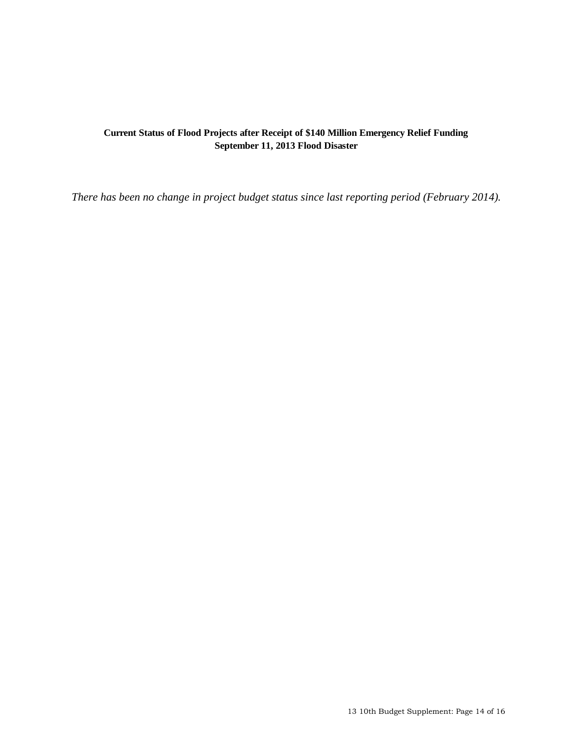# **Current Status of Flood Projects after Receipt of \$140 Million Emergency Relief Funding September 11, 2013 Flood Disaster**

*There has been no change in project budget status since last reporting period (February 2014).*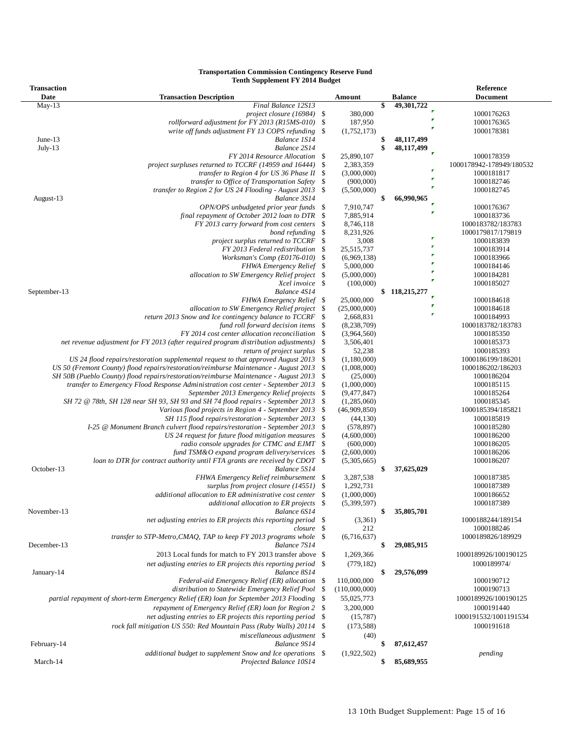#### **Transportation Commission Contingency Reserve Fund Tenth Supplement FY 2014 Budget**

| <b>Transaction</b> |                                                                                        |      |               |                        | Reference                                                                                                                                                                                                                                                                                                                                                                                                                                                                                                                                                                                                |
|--------------------|----------------------------------------------------------------------------------------|------|---------------|------------------------|----------------------------------------------------------------------------------------------------------------------------------------------------------------------------------------------------------------------------------------------------------------------------------------------------------------------------------------------------------------------------------------------------------------------------------------------------------------------------------------------------------------------------------------------------------------------------------------------------------|
| Date               | <b>Transaction Description</b>                                                         |      | Amount        | <b>Balance</b>         | <b>Document</b>                                                                                                                                                                                                                                                                                                                                                                                                                                                                                                                                                                                          |
| $May-13$           | Final Balance 12S13                                                                    |      |               | \$<br>49,301,722       |                                                                                                                                                                                                                                                                                                                                                                                                                                                                                                                                                                                                          |
|                    | project closure $(16984)$ \$                                                           |      | 380,000       |                        | 1000176263                                                                                                                                                                                                                                                                                                                                                                                                                                                                                                                                                                                               |
|                    | rollforward adjustment for FY 2013 (R15MS-010)                                         | -\$  | 187,950       |                        | 1000176365                                                                                                                                                                                                                                                                                                                                                                                                                                                                                                                                                                                               |
|                    | write off funds adjustment FY 13 COPS refunding                                        | -\$  | (1,752,173)   |                        | 1000178381<br>1000178359<br>1000178942-178949/180532<br>1000181817<br>1000182746<br>1000182745<br>1000176367<br>1000183736<br>1000183782/183783<br>1000179817/179819<br>1000183839<br>1000183914<br>1000183966<br>1000184146<br>1000184281<br>1000185027<br>1000184618<br>1000184618<br>1000184993<br>1000183782/183783<br>1000185350<br>1000185373<br>1000185393<br>1000186199/186201<br>1000186202/186203<br>1000186204<br>1000185115<br>1000185264<br>1000185345<br>1000185394/185821<br>1000185819<br>1000185280<br>1000186200<br>1000186205<br>1000186206<br>1000186207<br>1000187385<br>1000187389 |
| June- $13$         | Balance 1S14                                                                           |      |               | \$<br>48,117,499       |                                                                                                                                                                                                                                                                                                                                                                                                                                                                                                                                                                                                          |
| $July-13$          | Balance 2S14                                                                           |      |               | \$<br>48,117,499<br>ř. |                                                                                                                                                                                                                                                                                                                                                                                                                                                                                                                                                                                                          |
|                    | FY 2014 Resource Allocation                                                            | \$   | 25,890,107    |                        |                                                                                                                                                                                                                                                                                                                                                                                                                                                                                                                                                                                                          |
|                    | project surpluses returned to TCCRF (14959 and 16444)                                  | \$   | 2,383,359     |                        |                                                                                                                                                                                                                                                                                                                                                                                                                                                                                                                                                                                                          |
|                    | transfer to Region 4 for US 36 Phase II                                                | -\$  | (3,000,000)   |                        |                                                                                                                                                                                                                                                                                                                                                                                                                                                                                                                                                                                                          |
|                    | transfer to Office of Transportation Safety                                            | -\$  | (900,000)     |                        |                                                                                                                                                                                                                                                                                                                                                                                                                                                                                                                                                                                                          |
|                    | transfer to Region 2 for US 24 Flooding - August 2013                                  | -\$  | (5,500,000)   |                        | 1000186652<br>1000187389<br>1000188244/189154<br>1000188246                                                                                                                                                                                                                                                                                                                                                                                                                                                                                                                                              |
| August-13          | Balance 3S14                                                                           |      |               | \$<br>66,990,965       |                                                                                                                                                                                                                                                                                                                                                                                                                                                                                                                                                                                                          |
|                    | OPN/OPS unbudgeted prior year funds                                                    | \$   | 7,910,747     | Б                      |                                                                                                                                                                                                                                                                                                                                                                                                                                                                                                                                                                                                          |
|                    | final repayment of October 2012 loan to DTR                                            | -S   | 7,885,914     |                        |                                                                                                                                                                                                                                                                                                                                                                                                                                                                                                                                                                                                          |
|                    | FY 2013 carry forward from cost centers                                                | -\$  | 8,746,118     |                        |                                                                                                                                                                                                                                                                                                                                                                                                                                                                                                                                                                                                          |
|                    | bond refunding                                                                         | -\$  | 8,231,926     | P                      |                                                                                                                                                                                                                                                                                                                                                                                                                                                                                                                                                                                                          |
|                    | project surplus returned to TCCRF                                                      | \$   | 3,008         |                        |                                                                                                                                                                                                                                                                                                                                                                                                                                                                                                                                                                                                          |
|                    | FY 2013 Federal redistribution                                                         | -\$  | 25,515,737    |                        |                                                                                                                                                                                                                                                                                                                                                                                                                                                                                                                                                                                                          |
|                    | Worksman's Comp (E0176-010)                                                            | -S   | (6,969,138)   |                        |                                                                                                                                                                                                                                                                                                                                                                                                                                                                                                                                                                                                          |
|                    | <b>FHWA Emergency Relief</b> \$                                                        |      | 5,000,000     |                        |                                                                                                                                                                                                                                                                                                                                                                                                                                                                                                                                                                                                          |
|                    | allocation to SW Emergency Relief project                                              | -\$  | (5,000,000)   |                        |                                                                                                                                                                                                                                                                                                                                                                                                                                                                                                                                                                                                          |
|                    | Xcel invoice \$                                                                        |      | (100,000)     |                        |                                                                                                                                                                                                                                                                                                                                                                                                                                                                                                                                                                                                          |
| September-13       | Balance 4S14                                                                           |      |               | \$118,215,277          |                                                                                                                                                                                                                                                                                                                                                                                                                                                                                                                                                                                                          |
|                    | <b>FHWA Emergency Relief</b> \$                                                        |      | 25,000,000    |                        |                                                                                                                                                                                                                                                                                                                                                                                                                                                                                                                                                                                                          |
|                    | allocation to SW Emergency Relief project                                              | -S   | (25,000,000)  |                        |                                                                                                                                                                                                                                                                                                                                                                                                                                                                                                                                                                                                          |
|                    | return 2013 Snow and Ice contingency balance to TCCRF                                  | -S   | 2,668,831     |                        |                                                                                                                                                                                                                                                                                                                                                                                                                                                                                                                                                                                                          |
|                    | fund roll forward decision items                                                       | -\$  | (8, 238, 709) |                        |                                                                                                                                                                                                                                                                                                                                                                                                                                                                                                                                                                                                          |
|                    | FY 2014 cost center allocation reconciliation                                          | -\$  | (3,964,560)   |                        |                                                                                                                                                                                                                                                                                                                                                                                                                                                                                                                                                                                                          |
|                    | net revenue adjustment for FY 2013 (after required program distribution adjustments)   | -\$  | 3,506,401     |                        |                                                                                                                                                                                                                                                                                                                                                                                                                                                                                                                                                                                                          |
|                    | return of project surplus                                                              | -S   | 52,238        |                        |                                                                                                                                                                                                                                                                                                                                                                                                                                                                                                                                                                                                          |
|                    | US 24 flood repairs/restoration supplemental request to that approved August 2013      | -S   | (1,180,000)   |                        |                                                                                                                                                                                                                                                                                                                                                                                                                                                                                                                                                                                                          |
|                    | US 50 (Fremont County) flood repairs/restoration/reimburse Maintenance - August 2013   | -\$  | (1,008,000)   |                        |                                                                                                                                                                                                                                                                                                                                                                                                                                                                                                                                                                                                          |
|                    | SH 50B (Pueblo County) flood repairs/restoration/reimburse Maintenance - August 2013   | -\$  | (25,000)      |                        |                                                                                                                                                                                                                                                                                                                                                                                                                                                                                                                                                                                                          |
|                    | transfer to Emergency Flood Response Administration cost center - September 2013       | -\$  | (1,000,000)   |                        |                                                                                                                                                                                                                                                                                                                                                                                                                                                                                                                                                                                                          |
|                    | September 2013 Emergency Relief projects                                               | -\$  | (9,477,847)   |                        |                                                                                                                                                                                                                                                                                                                                                                                                                                                                                                                                                                                                          |
|                    | SH 72 @ 78th, SH 128 near SH 93, SH 93 and SH 74 flood repairs - September 2013        | -\$  | (1,285,060)   |                        |                                                                                                                                                                                                                                                                                                                                                                                                                                                                                                                                                                                                          |
|                    | Various flood projects in Region 4 - September 2013                                    | -\$  | (46,909,850)  |                        |                                                                                                                                                                                                                                                                                                                                                                                                                                                                                                                                                                                                          |
|                    | SH 115 flood repairs/restoration - September 2013 \$                                   |      | (44, 130)     |                        |                                                                                                                                                                                                                                                                                                                                                                                                                                                                                                                                                                                                          |
|                    | I-25 @ Monument Branch culvert flood repairs/restoration - September 2013              | -\$  | (578, 897)    |                        |                                                                                                                                                                                                                                                                                                                                                                                                                                                                                                                                                                                                          |
|                    | US 24 request for future flood mitigation measures                                     | - \$ | (4,600,000)   |                        |                                                                                                                                                                                                                                                                                                                                                                                                                                                                                                                                                                                                          |
|                    | radio console upgrades for CTMC and EJMT \\$                                           |      | (600,000)     |                        |                                                                                                                                                                                                                                                                                                                                                                                                                                                                                                                                                                                                          |
|                    | fund TSM&O expand program delivery/services                                            | -\$  | (2,600,000)   |                        |                                                                                                                                                                                                                                                                                                                                                                                                                                                                                                                                                                                                          |
|                    | loan to DTR for contract authority until FTA grants are received by CDOT \$            |      | (5,305,665)   |                        |                                                                                                                                                                                                                                                                                                                                                                                                                                                                                                                                                                                                          |
| October-13         | Balance 5S14                                                                           |      |               | \$<br>37,625,029       |                                                                                                                                                                                                                                                                                                                                                                                                                                                                                                                                                                                                          |
|                    | FHWA Emergency Relief reimbursement \$                                                 |      | 3,287,538     |                        |                                                                                                                                                                                                                                                                                                                                                                                                                                                                                                                                                                                                          |
|                    | surplus from project closure (14551) \$                                                |      | 1,292,731     |                        |                                                                                                                                                                                                                                                                                                                                                                                                                                                                                                                                                                                                          |
|                    | additional allocation to ER administrative cost center \$                              |      | (1,000,000)   |                        | 1000189826/189929<br>1000189926/100190125<br>1000189974/<br>1000190712<br>1000190713<br>1000189926/100190125<br>1000191440<br>1000191532/1001191534<br>1000191618<br>pending                                                                                                                                                                                                                                                                                                                                                                                                                             |
|                    | additional allocation to ER projects \, \,                                             |      | (5,399,597)   |                        |                                                                                                                                                                                                                                                                                                                                                                                                                                                                                                                                                                                                          |
| November-13        | Balance 6S14                                                                           |      |               | \$<br>35,805,701       |                                                                                                                                                                                                                                                                                                                                                                                                                                                                                                                                                                                                          |
|                    | net adjusting entries to ER projects this reporting period \, \,                       |      | (3,361)       |                        |                                                                                                                                                                                                                                                                                                                                                                                                                                                                                                                                                                                                          |
|                    | closure \$                                                                             |      | 212           |                        |                                                                                                                                                                                                                                                                                                                                                                                                                                                                                                                                                                                                          |
|                    | transfer to STP-Metro, CMAQ, TAP to keep FY 2013 programs whole \$                     |      | (6,716,637)   |                        |                                                                                                                                                                                                                                                                                                                                                                                                                                                                                                                                                                                                          |
| December-13        | Balance 7S14                                                                           |      |               | \$<br>29,085,915       |                                                                                                                                                                                                                                                                                                                                                                                                                                                                                                                                                                                                          |
|                    | 2013 Local funds for match to FY 2013 transfer above \$                                |      | 1,269,366     |                        |                                                                                                                                                                                                                                                                                                                                                                                                                                                                                                                                                                                                          |
|                    | net adjusting entries to ER projects this reporting period \\$                         |      | (779, 182)    |                        |                                                                                                                                                                                                                                                                                                                                                                                                                                                                                                                                                                                                          |
| January-14         | Balance 8S14                                                                           |      |               | \$<br>29,576,099       |                                                                                                                                                                                                                                                                                                                                                                                                                                                                                                                                                                                                          |
|                    | Federal-aid Emergency Relief (ER) allocation \$                                        |      | 110,000,000   |                        |                                                                                                                                                                                                                                                                                                                                                                                                                                                                                                                                                                                                          |
|                    | distribution to Statewide Emergency Relief Pool                                        |      | (110,000,000) |                        |                                                                                                                                                                                                                                                                                                                                                                                                                                                                                                                                                                                                          |
|                    | partial repayment of short-term Emergency Relief (ER) loan for September 2013 Flooding | -\$  | 55,025,773    |                        |                                                                                                                                                                                                                                                                                                                                                                                                                                                                                                                                                                                                          |
|                    | repayment of Emergency Relief (ER) loan for Region 2                                   | -\$  | 3,200,000     |                        |                                                                                                                                                                                                                                                                                                                                                                                                                                                                                                                                                                                                          |
|                    | net adjusting entries to ER projects this reporting period                             | -S   | (15,787)      |                        |                                                                                                                                                                                                                                                                                                                                                                                                                                                                                                                                                                                                          |
|                    | rock fall mitigation US 550: Red Mountain Pass (Ruby Walls) 20114 \$                   |      | (173, 588)    |                        |                                                                                                                                                                                                                                                                                                                                                                                                                                                                                                                                                                                                          |
|                    | miscellaneous adjustment \$                                                            |      | (40)          |                        |                                                                                                                                                                                                                                                                                                                                                                                                                                                                                                                                                                                                          |
| February-14        | Balance 9S14                                                                           |      |               | \$<br>87,612,457       |                                                                                                                                                                                                                                                                                                                                                                                                                                                                                                                                                                                                          |
|                    | additional budget to supplement Snow and Ice operations \$                             |      | (1,922,502)   |                        |                                                                                                                                                                                                                                                                                                                                                                                                                                                                                                                                                                                                          |
| March-14           | Projected Balance 10S14                                                                |      |               | \$<br>85,689,955       |                                                                                                                                                                                                                                                                                                                                                                                                                                                                                                                                                                                                          |
|                    |                                                                                        |      |               |                        |                                                                                                                                                                                                                                                                                                                                                                                                                                                                                                                                                                                                          |